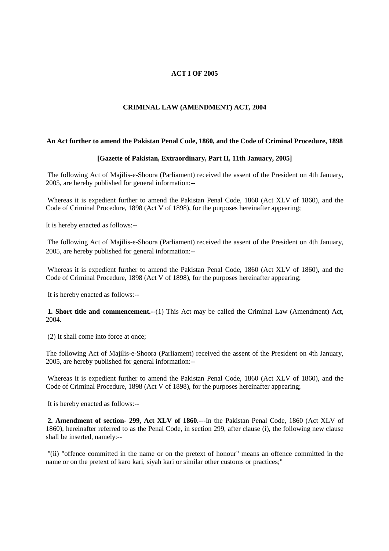## **ACT I OF 2005**

## **CRIMINAL LAW (AMENDMENT) ACT, 2004**

## **An Act further to amend the Pakistan Penal Code, 1860, and the Code of Criminal Procedure, 1898**

## **[Gazette of Pakistan, Extraordinary, Part II, 11th January, 2005]**

The following Act of Majilis-e-Shoora (Parliament) received the assent of the President on 4th January, 2005, are hereby published for general information:--

Whereas it is expedient further to amend the Pakistan Penal Code, 1860 (Act XLV of 1860), and the Code of Criminal Procedure, 1898 (Act V of 1898), for the purposes hereinafter appearing;

It is hereby enacted as follows:--

The following Act of Majilis-e-Shoora (Parliament) received the assent of the President on 4th January, 2005, are hereby published for general information:--

Whereas it is expedient further to amend the Pakistan Penal Code, 1860 (Act XLV of 1860), and the Code of Criminal Procedure, 1898 (Act V of 1898), for the purposes hereinafter appearing;

It is hereby enacted as follows:--

**1. Short title and commencement.-**-(1) This Act may be called the Criminal Law (Amendment) Act, 2004.

(2) It shall come into force at once;

The following Act of Majilis-e-Shoora (Parliament) received the assent of the President on 4th January, 2005, are hereby published for general information:--

Whereas it is expedient further to amend the Pakistan Penal Code, 1860 (Act XLV of 1860), and the Code of Criminal Procedure, 1898 (Act V of 1898), for the purposes hereinafter appearing;

It is hereby enacted as follows:--

**2. Amendment of section- 299, Act XLV of 1860.**---In the Pakistan Penal Code, 1860 (Act XLV of 1860), hereinafter referred to as the Penal Code, in section 299, after clause (i), the following new clause shall be inserted, namely:--

"(ii) "offence committed in the name or on the pretext of honour" means an offence committed in the name or on the pretext of karo kari, siyah kari or similar other customs or practices;"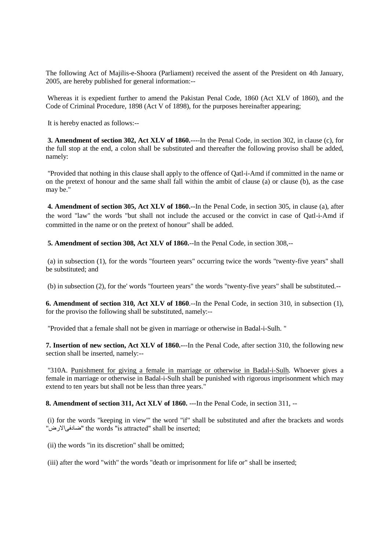The following Act of Majilis-e-Shoora (Parliament) received the assent of the President on 4th January, 2005, are hereby published for general information:--

Whereas it is expedient further to amend the Pakistan Penal Code, 1860 (Act XLV of 1860), and the Code of Criminal Procedure, 1898 (Act V of 1898), for the purposes hereinafter appearing;

It is hereby enacted as follows:--

**3. Amendment of section 302, Act XLV of 1860.---**-In the Penal Code, in section 302, in clause (c), for the full stop at the end, a colon shall be substituted and thereafter the following proviso shall be added, namely:

"Provided that nothing in this clause shall apply to the offence of Qatl-i-Amd if committed in the name or on the pretext of honour and the same shall fall within the ambit of clause (a) or clause (b), as the case may be."

**4. Amendment of section 305, Act XLV of 1860.--**In the Penal Code, in section 305, in clause (a), after the word "law" the words "but shall not include the accused or the convict in case of Qatl-i-Amd if committed in the name or on the pretext of honour" shall be added.

**5. Amendment of section 308, Act XLV of 1860.**--In the Penal Code, in section 308,--

(a) in subsection (1), for the words "fourteen years" occurring twice the words "twenty-five years" shall be substituted; and

(b) in subsection (2), for the' words "fourteen years" the words "twenty-five years" shall be substituted.--

**6. Amendment of section 310, Act XLV of 1860**.--In the Penal Code, in section 310, in subsection (1), for the proviso the following shall be substituted, namely:--

"Provided that a female shall not be given in marriage or otherwise in Badal-i-Sulh. "

**7. Insertion of new section, Act XLV of 1860.-**--In the Penal Code, after section 310, the following new section shall be inserted, namely:--

"310A. Punishment for giving a female in marriage or otherwise in Badal-i-Sulh. Whoever gives a female in marriage or otherwise in Badal-i-Sulh shall be punished with rigorous imprisonment which may extend to ten years but shall not be less than three years."

**8. Amendment of section 311, Act XLV of 1860.** ---In the Penal Code, in section 311, --

(i) for the words "keeping in view"' the word "if" shall be substituted and after the brackets and words "ضادفىالارض "the words "is attracted" shall be inserted;

(ii) the words "in its discretion" shall be omitted;

(iii) after the word "with" the words "death or imprisonment for life or" shall be inserted;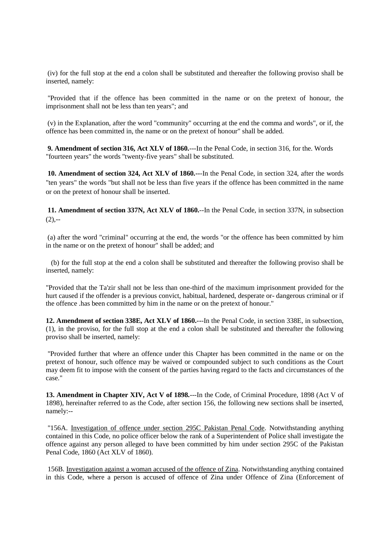(iv) for the full stop at the end a colon shall be substituted and thereafter the following proviso shall be inserted, namely:

"Provided that if the offence has been committed in the name or on the pretext of honour, the imprisonment shall not be less than ten years"; and

(v) in the Explanation, after the word "community" occurring at the end the comma and words", or if, the offence has been committed in, the name or on the pretext of honour" shall be added.

**9. Amendment of section 316, Act XLV of 1860.**---In the Penal Code, in section 316, for the. Words "fourteen years" the words "twenty-five years" shall be substituted.

**10. Amendment of section 324, Act XLV of 1860.--**-In the Penal Code, in section 324, after the words "ten years" the words "but shall not be less than five years if the offence has been committed in the name or on the pretext of honour shall be inserted.

**11. Amendment of section 337N, Act XLV of 1860.**--In the Penal Code, in section 337N, in subsection  $(2)$ ,--

(a) after the word "criminal" occurring at the end, the words "or the offence has been committed by him in the name or on the pretext of honour" shall be added; and

(b) for the full stop at the end a colon shall be substituted and thereafter the following proviso shall be inserted, namely:

"Provided that the Ta'zir shall not be less than one-third of the maximum imprisonment provided for the hurt caused if the offender is a previous convict, habitual, hardened, desperate or- dangerous criminal or if the offence .has been committed by him in the name or on the pretext of honour."

**12. Amendment of section 338E, Act XLV of 1860.--**-In the Penal Code, in section 338E, in subsection, (1), in the proviso, for the full stop at the end a colon shall be substituted and thereafter the following proviso shall be inserted, namely:

"Provided further that where an offence under this Chapter has been committed in the name or on the pretext of honour, such offence may be waived or compounded subject to such conditions as the Court may deem fit to impose with the consent of the parties having regard to the facts and circumstances of the case."

**13. Amendment in Chapter XIV, Act V of 1898.**---In the Code, of Criminal Procedure, 1898 (Act V of 1898), hereinafter referred to as the Code, after section 156, the following new sections shall be inserted, namely:--

"156A. Investigation of offence under section 295C Pakistan Penal Code. Notwithstanding anything contained in this Code, no police officer below the rank of a Superintendent of Police shall investigate the offence against any person alleged to have been committed by him under section 295C of the Pakistan Penal Code, 1860 (Act XLV of 1860).

156B. Investigation against a woman accused of the offence of Zina. Notwithstanding anything contained in this Code, where a person is accused of offence of Zina under Offence of Zina (Enforcement of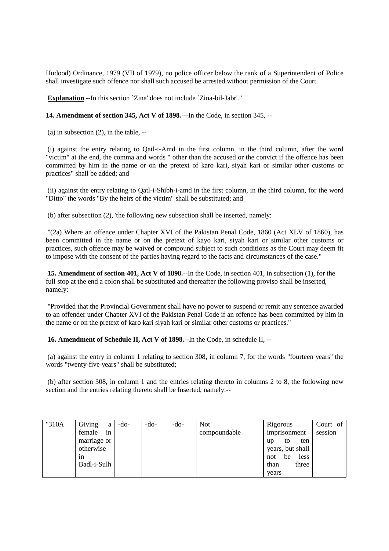Hudood) Ordinance, 1979 (VII of 1979), no police officer below the rank of a Superintendent of Police shall investigate such offence nor shall such accused be arrested without permission of the Court.

**Explanation**.--In this section `Zina' does not include `Zina-bil-Jabr'."

**14. Amendment of section 345, Act V of 1898.**---In the Code, in section 345, --

 $(a)$  in subsection  $(2)$ , in the table,  $-$ 

(i) against the entry relating to Qatl-i-Amd in the first column, in the third column, after the word "victim" at the end, the comma and words " other than the accused or the convict if the offence has been committed by him in the name or on the pretext of karo kari, siyah kari or similar other customs or practices" shall be added; and

(ii) against the entry relating to Qatl-i-Shibh-i-amd in the first column, in the third column, for the word "Ditto" the words "By the heirs of the victim" shall be substituted; and

(b) after subsection (2), 'the following new subsection shall be inserted, namely:

"(2a) Where an offence under Chapter XVI of the Pakistan Penal Code, 1860 (Act XLV of 1860), has been committed in the name or on the pretext of kayo kari, siyah kari or similar other customs or practices, such offence may be waived or compound subject to such conditions as the Court may deem fit to impose with the consent of the parties having regard to the facts and circumstances of the case."

**15. Amendment of section 401, Act V of 1898.**--In the Code, in section 401, in subsection (1), for the full stop at the end a colon shall be substituted and thereafter the following proviso shall be inserted, namely:

"Provided that the Provincial Government shall have no power to suspend or remit any sentence awarded to an offender under Chapter XVI of the Pakistan Penal Code if an offence has been committed by him in the name or on the pretext of karo kari siyah kari or similar other customs or practices."

**16. Amendment of Schedule II, Act V of 1898.**--In the Code, in schedule II, --

(a) against the entry in column 1 relating to section 308, in column 7, for the words "fourteen years" the words "twenty-five years" shall be substituted;

(b) after section 308, in column 1 and the entries relating thereto in columns 2 to 8, the following new section and the entries relating thereto shall be Inserted, namely:--

| "310A | Giving<br>a  | -do- | -do- | $-do-$ | <b>Not</b>   | Rigorous          | Court of |
|-------|--------------|------|------|--------|--------------|-------------------|----------|
|       | female<br>in |      |      |        | compoundable | imprisonment      | session  |
|       | marriage or  |      |      |        |              | ten<br>to<br>up   |          |
|       | otherwise    |      |      |        |              | years, but shall  |          |
|       | 1n           |      |      |        |              | less<br>be<br>not |          |
|       | Badl-i-Sulh  |      |      |        |              | three<br>than     |          |
|       |              |      |      |        |              | years             |          |